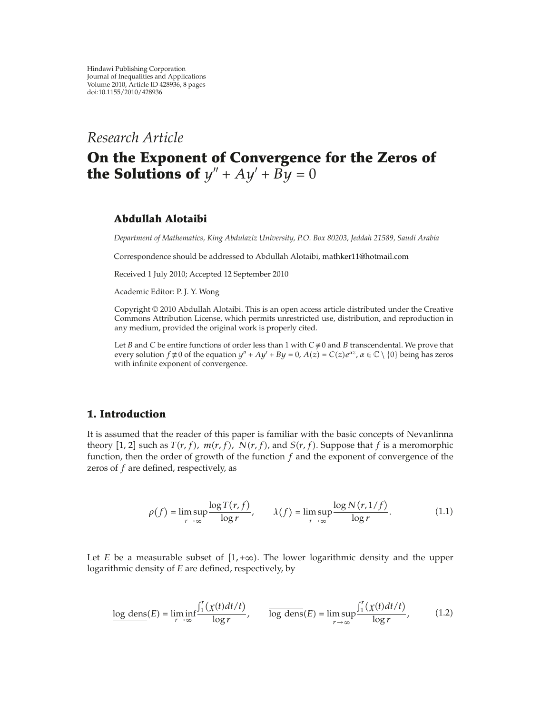*Research Article*

# **On the Exponent of Convergence for the Zeros of the Solutions of**  $y'' + Ay' + By = 0$

## **Abdullah Alotaibi**

*Department of Mathematics, King Abdulaziz University, P.O. Box 80203, Jeddah 21589, Saudi Arabia*

Correspondence should be addressed to Abdullah Alotaibi, mathker11@hotmail.com

Received 1 July 2010; Accepted 12 September 2010

Academic Editor: P. J. Y. Wong

Copyright © 2010 Abdullah Alotaibi. This is an open access article distributed under the Creative Commons Attribution License, which permits unrestricted use, distribution, and reproduction in any medium, provided the original work is properly cited.

Let *B* and *C* be entire functions of order less than 1 with  $C \neq 0$  and *B* transcendental. We prove that every solution  $f \neq 0$  of the equation  $y'' + Ay' + By = 0$ ,  $A(z) = C(z)e^{\alpha z}$ ,  $\alpha \in \mathbb{C} \setminus \{0\}$  being has zeros with infinite exponent of convergence.

### **1. Introduction**

It is assumed that the reader of this paper is familiar with the basic concepts of Nevanlinna theory [1, 2] such as  $T(r, f)$ ,  $m(r, f)$ ,  $N(r, f)$ , and  $S(r, f)$ . Suppose that *f* is a meromorphic function, then the order of growth of the function *f* and the exponent of convergence of the zeros of *f* are defined, respectively, as

$$
\rho(f) = \limsup_{r \to \infty} \frac{\log T(r, f)}{\log r}, \qquad \lambda(f) = \limsup_{r \to \infty} \frac{\log N(r, 1/f)}{\log r}.
$$
 (1.1)

Let *E* be a measurable subset of  $[1, +\infty)$ . The lower logarithmic density and the upper logarithmic density of *E* are defined, respectively, by

$$
\frac{\log \text{ dens}(E) = \liminf_{r \to \infty} \frac{\int_1^r (\chi(t)dt/t)}{\log r}, \qquad \frac{\log \text{dens}(E) = \limsup_{r \to \infty} \frac{\int_1^r (\chi(t)dt/t)}{\log r},\tag{1.2}
$$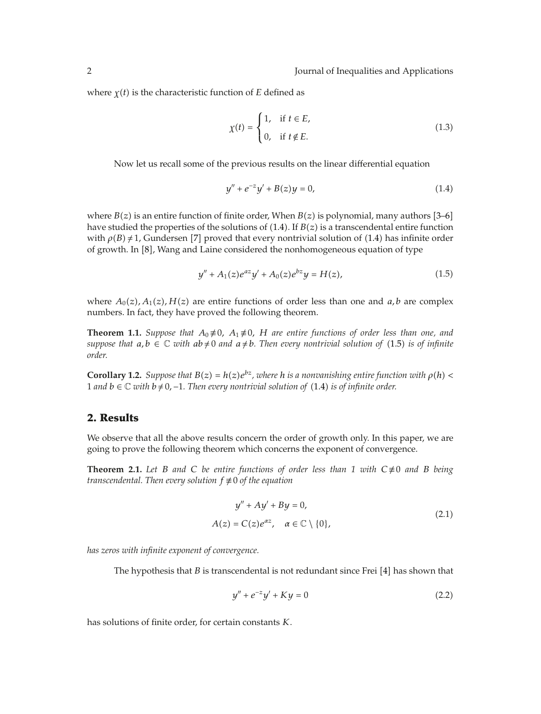where  $\gamma(t)$  is the characteristic function of *E* defined as

$$
\chi(t) = \begin{cases} 1, & \text{if } t \in E, \\ 0, & \text{if } t \notin E. \end{cases}
$$
 (1.3)

Now let us recall some of the previous results on the linear differential equation

$$
y'' + e^{-z}y' + B(z)y = 0,
$$
\n(1.4)

where  $B(z)$  is an entire function of finite order, When  $B(z)$  is polynomial, many authors [3–6] have studied the properties of the solutions of  $(1.4)$ . If  $B(z)$  is a transcendental entire function with  $\rho(B) \neq 1$ , Gundersen [7] proved that every nontrivial solution of (1.4) has infinite order of growth. In [8], Wang and Laine considered the nonhomogeneous equation of type

$$
y'' + A_1(z)e^{az}y' + A_0(z)e^{bz}y = H(z),
$$
\n(1.5)

where  $A_0(z)$ ,  $A_1(z)$ ,  $H(z)$  are entire functions of order less than one and *a*, *b* are complex numbers. In fact, they have proved the following theorem.

**Theorem 1.1.** *Suppose that*  $A_0 \neq 0$ ,  $A_1 \neq 0$ , *H* are entire functions of order less than one, and *suppose that*  $a, b \in \mathbb{C}$  *with*  $ab \neq 0$  *and*  $a \neq b$ *. Then every nontrivial solution of* (1.5) *is of infinite order.*

**Corollary 1.2.** *Suppose that*  $B(z) = h(z)e^{bz}$ *, where h is a nonvanishing entire function with*  $\rho(h)$  < 1 and *b* ∈  $\mathbb C$  *with b* ≠ 0, −1. Then every nontrivial solution of (1.4) is of infinite order.

## **2. Results**

We observe that all the above results concern the order of growth only. In this paper, we are going to prove the following theorem which concerns the exponent of convergence.

**Theorem 2.1.** Let *B* and *C* be entire functions of order less than 1 with  $C \neq 0$  and *B* being *transcendental. Then every solution*  $f \not\equiv 0$  *of the equation* 

$$
y'' + Ay' + By = 0,
$$
  
\n
$$
A(z) = C(z)e^{\alpha z}, \quad \alpha \in \mathbb{C} \setminus \{0\},
$$
\n(2.1)

*has zeros with infinite exponent of convergence.*

The hypothesis that  $B$  is transcendental is not redundant since Frei [4] has shown that

$$
y'' + e^{-z}y' + Ky = 0 \tag{2.2}
$$

has solutions of finite order, for certain constants *K*.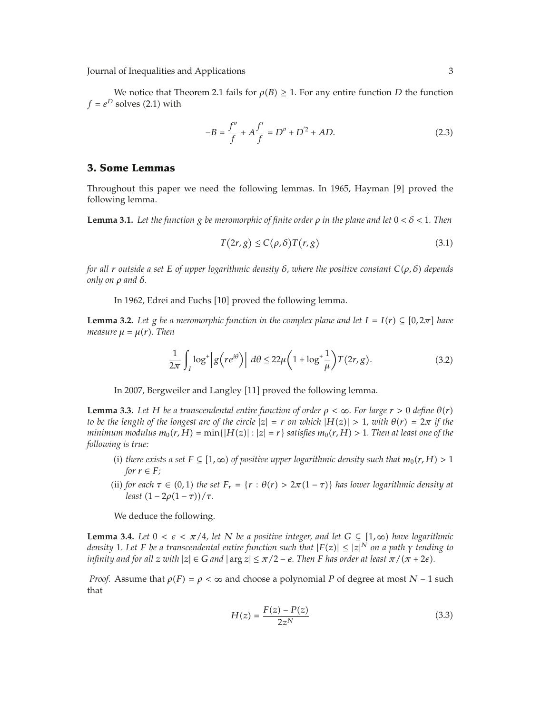Journal of Inequalities and Applications 3

We notice that Theorem 2.1 fails for  $\rho(B) \geq 1$ . For any entire function *D* the function  $f = e^D$  solves (2.1) with

$$
-B = \frac{f''}{f} + A\frac{f'}{f} = D'' + D^2 + AD.
$$
 (2.3)

### **3. Some Lemmas**

Throughout this paper we need the following lemmas. In 1965, Hayman  $[9]$  proved the following lemma.

**Lemma 3.1.** Let the function  $g$  be meromorphic of finite order  $\rho$  in the plane and let  $0 < \delta < 1$ . Then

$$
T(2r,g) \le C(\rho,\delta)T(r,g) \tag{3.1}
$$

*for all r outside a set E of upper logarithmic density δ, where the positive constant Cρ, δ depends only on ρ and δ.*

In 1962, Edrei and Fuchs [10] proved the following lemma.

**Lemma 3.2.** Let *g* be a meromorphic function in the complex plane and let  $I = I(r) \subseteq [0, 2\pi]$  have *measure*  $\mu = \mu(r)$ *. Then* 

$$
\frac{1}{2\pi} \int_{I} \log^{+} \left| g\left(re^{i\theta}\right) \right| \ d\theta \leq 22\mu \left(1 + \log^{+} \frac{1}{\mu}\right) T(2r, g). \tag{3.2}
$$

In 2007, Bergweiler and Langley [11] proved the following lemma.

**Lemma 3.3.** Let H be a transcendental entire function of order  $\rho < \infty$ . For large  $r > 0$  define  $\theta(r)$ *to be the length of the longest arc of the circle*  $|z| = r$  *on which*  $|H(z)| > 1$ *, with*  $\theta(r) = 2\pi$  *if the minimum modulus*  $m_0(r, H) = \min\{|H(z)| : |z| = r\}$  *satisfies*  $m_0(r, H) > 1$ . Then at least one of the *following is true:*

- (i) there exists a set  $F \subseteq [1, \infty)$  of positive upper logarithmic density such that  $m_0(r, H) > 1$ *for*  $r \in F$ *;*
- (ii) for each  $\tau \in (0,1)$  the set  $F_r = \{r : \theta(r) > 2\pi(1-\tau)\}\$  has lower logarithmic density at *least*  $(1 - 2\rho(1 - \tau))/\tau$ .

We deduce the following.

**Lemma 3.4.** Let  $0 < \epsilon < \pi/4$ , let N be a positive integer, and let  $G \subseteq [1, \infty)$  have logarithmic *density* 1*. Let F be a transcendental entire function such that* |*Fz*|≤|*z*| *<sup>N</sup> on a path γ tending to infinity and for all*  $z$  *with*  $|z| \in G$  *and*  $|\arg z| \leq \pi/2 - \epsilon$ . Then F has order at least  $\pi/(\pi + 2\epsilon)$ .

*Proof.* Assume that  $\rho(F) = \rho < \infty$  and choose a polynomial *P* of degree at most *N* − 1 such that

$$
H(z) = \frac{F(z) - P(z)}{2z^N}
$$
\n(3.3)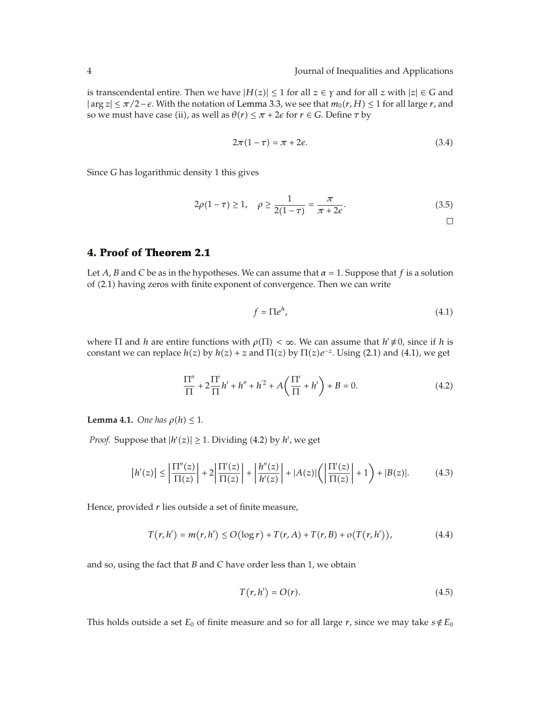is transcendental entire. Then we have  $|H(z)| \le 1$  for all  $z \in \gamma$  and for all  $z$  with  $|z| \in G$  and  $|\arg z| \leq \pi/2 - \epsilon$ . With the notation of Lemma 3.3, we see that  $m_0(r, H) \leq 1$  for all large *r*, and so we must have case (ii), as well as  $\theta(r) \leq \pi + 2\epsilon$  for  $r \in G$ . Define  $\tau$  by

$$
2\pi(1-\tau) = \pi + 2\epsilon.
$$
\n(3.4)

Since *G* has logarithmic density 1 this gives

$$
2\rho(1-\tau) \ge 1, \quad \rho \ge \frac{1}{2(1-\tau)} = \frac{\pi}{\pi + 2\epsilon}.
$$
 (3.5)

# **4. Proof of Theorem 2.1**

Let *A*, *B* and *C* be as in the hypotheses. We can assume that  $\alpha = 1$ . Suppose that *f* is a solution of (2.1) having zeros with finite exponent of convergence. Then we can write

$$
f = \Pi e^h,\tag{4.1}
$$

where  $\Pi$  and *h* are entire functions with  $\rho(\Pi) < \infty$ . We can assume that  $h' \neq 0$ , since if *h* is constant we can replace  $h(z)$  by  $h(z) + z$  and  $\Pi(z)$  by  $\Pi(z)e^{-z}$ . Using (2.1) and (4.1), we get

$$
\frac{\Pi''}{\Pi} + 2\frac{\Pi'}{\Pi}h' + h'' + h'^2 + A\left(\frac{\Pi'}{\Pi} + h'\right) + B = 0.
$$
 (4.2)

**Lemma 4.1.** *One has*  $\rho(h) \leq 1$ *.* 

*Proof.* Suppose that  $|h'(z)| \ge 1$ . Dividing (4.2) by  $h'$ , we get

$$
\left|h'(z)\right| \le \left|\frac{\Pi''(z)}{\Pi(z)}\right| + 2\left|\frac{\Pi'(z)}{\Pi(z)}\right| + \left|\frac{h''(z)}{h'(z)}\right| + |A(z)|\left(\left|\frac{\Pi'(z)}{\Pi(z)}\right| + 1\right) + |B(z)|.\tag{4.3}
$$

Hence, provided *r* lies outside a set of finite measure,

$$
T(r, h') = m(r, h') \le O(\log r) + T(r, A) + T(r, B) + o(T(r, h')), \qquad (4.4)
$$

and so, using the fact that *B* and *C* have order less than 1, we obtain

$$
T(r, h') = O(r). \tag{4.5}
$$

This holds outside a set  $E_0$  of finite measure and so for all large  $r$ , since we may take  $s \notin E_0$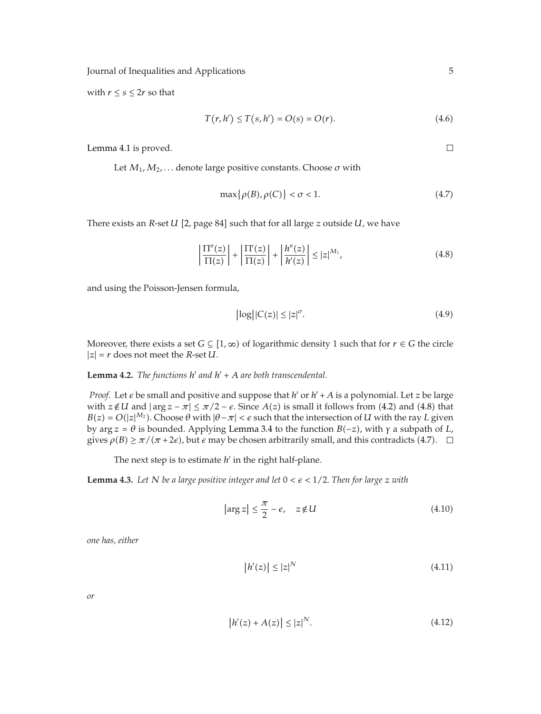Journal of Inequalities and Applications 5

with  $r \leq s \leq 2r$  so that

$$
T(r, h') \le T(s, h') = O(s) = O(r).
$$
 (4.6)

Lemma 4.1 is proved.

Let  $M_1, M_2, \ldots$  denote large positive constants. Choose  $\sigma$  with

$$
\max\{\rho(B), \rho(C)\} < \sigma < 1. \tag{4.7}
$$

There exists an  $R$ -set  $U$  [2, page 84] such that for all large  $z$  outside  $U$ , we have

$$
\left|\frac{\Pi''(z)}{\Pi(z)}\right| + \left|\frac{\Pi'(z)}{\Pi(z)}\right| + \left|\frac{h''(z)}{h'(z)}\right| \le |z|^{M_1},\tag{4.8}
$$

and using the Poisson-Jensen formula,

$$
\left|\log\left|\left|C(z)\right|\leq\left|z\right|^{\sigma}\right|\right.\tag{4.9}
$$

Moreover, there exists a set  $G \subseteq [1, \infty)$  of logarithmic density 1 such that for  $r \in G$  the circle  $|z| = r$  does not meet the *R*-set *U*.

**Lemma 4.2.** *The functions*  $h'$  *and*  $h' + A$  *are both transcendental.* 

*Proof.* Let  $\epsilon$  be small and positive and suppose that  $h'$  or  $h' + A$  is a polynomial. Let  $z$  be large with  $z \notin U$  and  $|\arg z - \pi| \leq \pi/2 - \epsilon$ . Since  $A(z)$  is small it follows from (4.2) and (4.8) that  $B(z) = O(|z|^{M_2})$ . Choose  $\theta$  with  $|\theta - \pi| < \epsilon$  such that the intersection of *U* with the ray *L* given by arg *z θ* is bounded. Applying Lemma 3.4 to the function *B*−*z*, with *γ* a subpath of *L*, gives  $\rho(B) \ge \pi/(\pi + 2\epsilon)$ , but  $\epsilon$  may be chosen arbitrarily small, and this contradicts (4.7).

The next step is to estimate  $h'$  in the right half-plane.

**Lemma 4.3.** Let N be a large positive integer and let  $0 < \epsilon < 1/2$ . Then for large  $z$  with

$$
\left|\arg z\right| \leq \frac{\pi}{2} - \epsilon, \quad z \notin U \tag{4.10}
$$

*one has, either*

$$
|h'(z)| \le |z|^N \tag{4.11}
$$

*or*

$$
|h'(z) + A(z)| \le |z|^N.
$$
 (4.12)

 $\Box$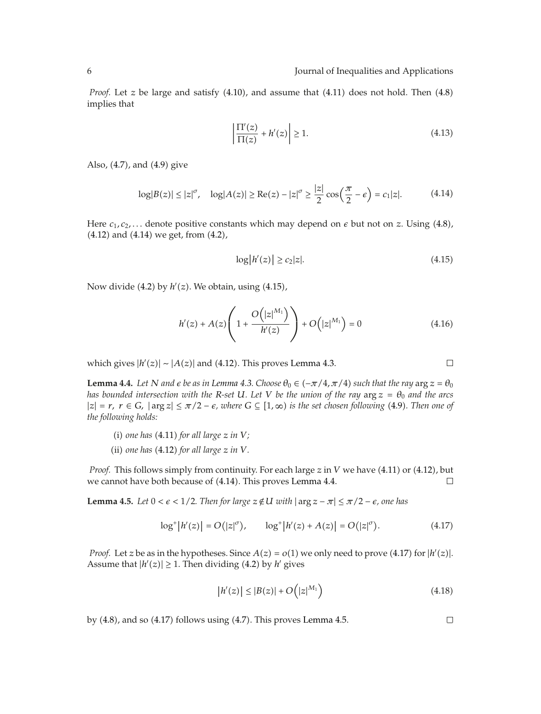*Proof.* Let *z* be large and satisfy  $(4.10)$ , and assume that  $(4.11)$  does not hold. Then  $(4.8)$ implies that

$$
\left|\frac{\Pi'(z)}{\Pi(z)} + h'(z)\right| \ge 1.
$$
\n(4.13)

Also,  $(4.7)$ , and  $(4.9)$  give

$$
\log|B(z)| \le |z|^{\sigma}, \quad \log|A(z)| \ge \text{Re}(z) - |z|^{\sigma} \ge \frac{|z|}{2} \cos\left(\frac{\pi}{2} - \epsilon\right) = c_1|z|. \tag{4.14}
$$

Here  $c_1, c_2, \ldots$  denote positive constants which may depend on  $\epsilon$  but not on  $z$ . Using (4.8),  $(4.12)$  and  $(4.14)$  we get, from  $(4.2)$ ,

$$
\log|h'(z)| \ge c_2|z|. \tag{4.15}
$$

Now divide (4.2) by  $h'(z)$ . We obtain, using (4.15),

$$
h'(z) + A(z) \left( 1 + \frac{O(|z|^{M_1})}{h'(z)} \right) + O(|z|^{M_1}) = 0
$$
\n(4.16)

which gives  $|h'(z)| \sim |A(z)|$  and (4.12). This proves Lemma 4.3.

**Lemma 4.4.** *Let N and e be as in Lemma 4.3. Choose*  $\theta_0 \in (-\pi/4, \pi/4)$  *such that the ray*  $\arg z = \theta_0$ *has bounded intersection with the R-set U. Let V be the union of the ray*  $\arg z = \theta_0$  *and the arcs*  $|z| = r$ ,  $r ∈ G$ ,  $|\arg z| ≤ π/2 − ε$ , where  $G ⊆ [1, ∞)$  is the set chosen following (4.9). Then one of *the following holds:*

- $(i)$  *one has*  $(4.11)$  *for all large*  $z$  *in*  $V$ *;*
- (ii) one has  $(4.12)$  for all large  $z$  *in*  $V$ *.*

*Proof.* This follows simply from continuity. For each large *z* in *V* we have (4.11) or (4.12), but we cannot have both because of  $(4.14)$ . This proves Lemma 4.4.  $\Box$ 

**Lemma 4.5.** *Let*  $0 < \epsilon < 1/2$ . *Then for large*  $z \notin U$  *with*  $|\arg z - \pi| \leq \pi/2 - \epsilon$ , one has

$$
\log^+|h'(z)| = O(|z|^\sigma), \qquad \log^+|h'(z) + A(z)| = O(|z|^\sigma). \tag{4.17}
$$

*Proof.* Let *z* be as in the hypotheses. Since  $A(z) = o(1)$  we only need to prove (4.17) for  $|h'(z)|$ . Assume that  $|h'(z)| \geq 1$ . Then dividing (4.2) by  $h'$  gives

$$
|h'(z)| \le |B(z)| + O(|z|^{M_1})
$$
\n(4.18)

by  $(4.8)$ , and so  $(4.17)$  follows using  $(4.7)$ . This proves Lemma 4.5.

 $\Box$ 

 $\Box$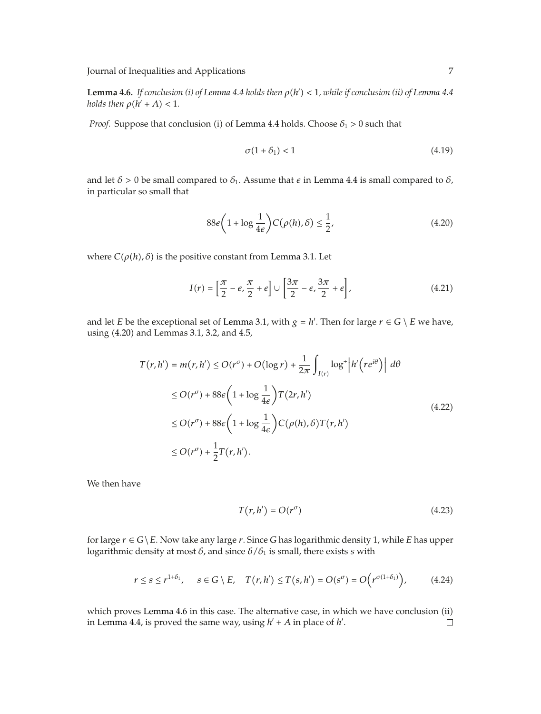Journal of Inequalities and Applications 7

**Lemma 4.6.** *If conclusion (i) of Lemma 4.4 holds then*  $\rho(h') < 1$ *, while if conclusion (ii) of Lemma 4.4 holds then*  $\rho(h' + A) < 1$ *.* 

*Proof.* Suppose that conclusion (i) of Lemma 4.4 holds. Choose  $\delta_1 > 0$  such that

$$
\sigma(1+\delta_1) < 1\tag{4.19}
$$

and let  $\delta > 0$  be small compared to  $\delta_1$ . Assume that  $\epsilon$  in Lemma 4.4 is small compared to  $\delta$ , in particular so small that

$$
88\epsilon \left(1 + \log \frac{1}{4\epsilon}\right) C(\rho(h), \delta) \le \frac{1}{2},\tag{4.20}
$$

where  $C(\rho(h), \delta)$  is the positive constant from Lemma 3.1. Let

$$
I(r) = \left[\frac{\pi}{2} - \epsilon, \frac{\pi}{2} + \epsilon\right] \cup \left[\frac{3\pi}{2} - \epsilon, \frac{3\pi}{2} + \epsilon\right],\tag{4.21}
$$

and let *E* be the exceptional set of Lemma 3.1, with  $g = h'$ . Then for large  $r \in G \setminus E$  we have, using 4.20 and Lemmas 3.1, 3.2, and 4.5,

$$
T(r, h') = m(r, h') \le O(r^{\sigma}) + O(\log r) + \frac{1}{2\pi} \int_{I(r)} \log^{+} |h'(re^{i\theta})| d\theta
$$
  
\n
$$
\le O(r^{\sigma}) + 88\varepsilon \left(1 + \log \frac{1}{4\varepsilon}\right) T(2r, h')
$$
  
\n
$$
\le O(r^{\sigma}) + 88\varepsilon \left(1 + \log \frac{1}{4\varepsilon}\right) C(\rho(h), \delta) T(r, h')
$$
  
\n
$$
\le O(r^{\sigma}) + \frac{1}{2} T(r, h').
$$
\n(4.22)

We then have

$$
T(r, h') = O(r^{\sigma})
$$
\n(4.23)

for large  $r \in G \setminus E$ . Now take any large  $r$ . Since *G* has logarithmic density 1, while *E* has upper logarithmic density at most *δ*, and since *δ/δ*<sup>1</sup> is small, there exists *s* with

$$
r \leq s \leq r^{1+\delta_1}, \quad s \in G \setminus E, \quad T(r, h') \leq T(s, h') = O(s^{\sigma}) = O\Big(r^{\sigma(1+\delta_1)}\Big), \tag{4.24}
$$

which proves Lemma 4.6 in this case. The alternative case, in which we have conclusion (ii)  $\Box$ in Lemma 4.4, is proved the same way, using  $h' + A$  in place of  $h'$ .